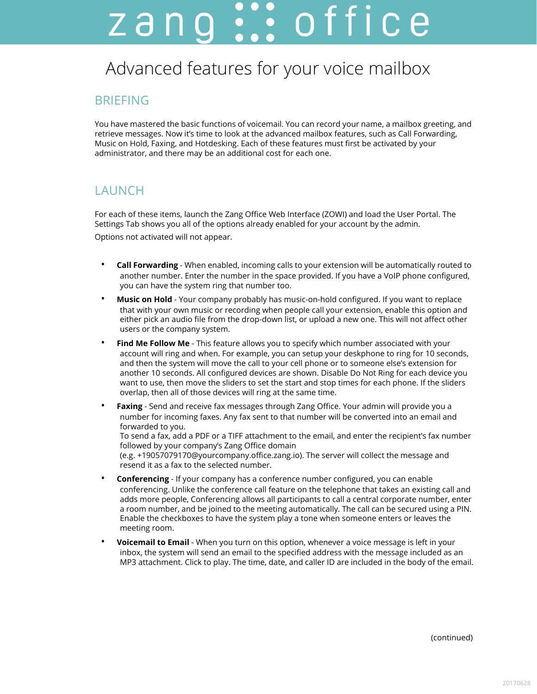# zang ::: office

# Advanced features for your voice mailbox

#### BRIEFING

You have mastered the basic functions of voicemail. You can record your name, a mailbox greeting, and retrieve messages. Now it's time to look at the advanced mailbox features, such as Call Forwarding, Music on Hold, Faxing, and Hotdesking. Each of these features must first be activated by your administrator, and there may be an additional cost for each one.

#### **LAUNCH**

For each of these items, launch the Zang Office Web Interface (ZOWI) and load the User Portal. The Settings Tab shows you all of the options already enabled for your account by the admin. Options not activated will not appear.

- **Call Forwarding** When enabled, incoming calls to your extension will be automatically routed to another number. Enter the number in the space provided. If you have a VoIP phone configured, you can have the system ring that number too.
- **Music on Hold** Your company probably has music-on-hold configured. If you want to replace that with your own music or recording when people call your extension, enable this option and either pick an audio file from the drop-down list, or upload a new one. This will not affect other users or the company system.
- **Find Me Follow Me** This feature allows you to specify which number associated with your account will ring and when. For example, you can setup your deskphone to ring for 10 seconds, and then the system will move the call to your cell phone or to someone else's extension for another 10 seconds. All configured devices are shown. Disable Do Not Ring for each device you want to use, then move the sliders to set the start and stop times for each phone. If the sliders overlap, then all of those devices will ring at the same time.
- **Faxing** Send and receive fax messages through Zang Office. Your admin will provide you a number for incoming faxes. Any fax sent to that number will be converted into an email and forwarded to you.

To send a fax, add a PDF or a TIFF attachment to the email, and enter the recipient's fax number followed by your company's Zang Office domain

(e.g. +19057079170@yourcompany.office.zang.io). The server will collect the message and resend it as a fax to the selected number.

- **Conferencing** If your company has a conference number configured, you can enable conferencing. Unlike the conference call feature on the telephone that takes an existing call and adds more people, Conferencing allows all participants to call a central corporate number, enter a room number, and be joined to the meeting automatically. The call can be secured using a PIN. Enable the checkboxes to have the system play a tone when someone enters or leaves the meeting room.
- **Voicemail to Email** When you turn on this option, whenever a voice message is left in your inbox, the system will send an email to the specified address with the message included as an MP3 attachment. Click to play. The time, date, and caller ID are included in the body of the email.

(continued)